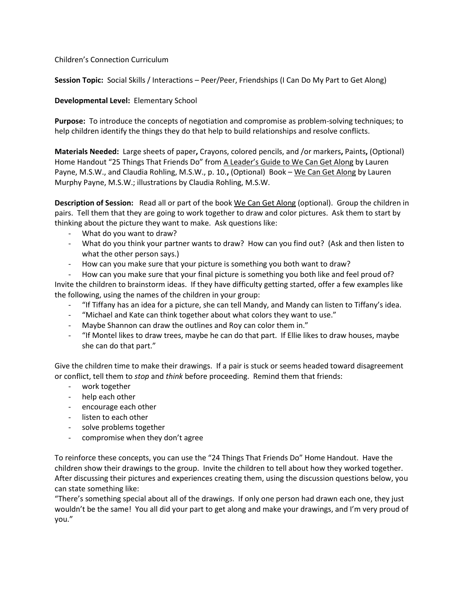## Children's Connection Curriculum

**Session Topic:** Social Skills / Interactions – Peer/Peer, Friendships (I Can Do My Part to Get Along)

## **Developmental Level:** Elementary School

**Purpose:** To introduce the concepts of negotiation and compromise as problem-solving techniques; to help children identify the things they do that help to build relationships and resolve conflicts.

**Materials Needed:** Large sheets of paper**,** Crayons, colored pencils, and /or markers**,** Paints**,** (Optional) Home Handout "25 Things That Friends Do" from A Leader's Guide to We Can Get Along by Lauren Payne, M.S.W., and Claudia Rohling, M.S.W., p. 10.**,** (Optional) Book – We Can Get Along by Lauren Murphy Payne, M.S.W.; illustrations by Claudia Rohling, M.S.W.

**Description of Session:** Read all or part of the book We Can Get Along (optional). Group the children in pairs. Tell them that they are going to work together to draw and color pictures. Ask them to start by thinking about the picture they want to make. Ask questions like:

- What do you want to draw?
- What do you think your partner wants to draw? How can you find out? (Ask and then listen to what the other person says.)
- How can you make sure that your picture is something you both want to draw?

How can you make sure that your final picture is something you both like and feel proud of? Invite the children to brainstorm ideas. If they have difficulty getting started, offer a few examples like the following, using the names of the children in your group:

- "If Tiffany has an idea for a picture, she can tell Mandy, and Mandy can listen to Tiffany's idea.
- "Michael and Kate can think together about what colors they want to use."
- Maybe Shannon can draw the outlines and Roy can color them in."
- "If Montel likes to draw trees, maybe he can do that part. If Ellie likes to draw houses, maybe she can do that part."

Give the children time to make their drawings. If a pair is stuck or seems headed toward disagreement or conflict, tell them to *stop* and *think* before proceeding. Remind them that friends:

- work together
- help each other
- encourage each other
- listen to each other
- solve problems together
- compromise when they don't agree

To reinforce these concepts, you can use the "24 Things That Friends Do" Home Handout. Have the children show their drawings to the group. Invite the children to tell about how they worked together. After discussing their pictures and experiences creating them, using the discussion questions below, you can state something like:

"There's something special about all of the drawings. If only one person had drawn each one, they just wouldn't be the same! You all did your part to get along and make your drawings, and I'm very proud of you."